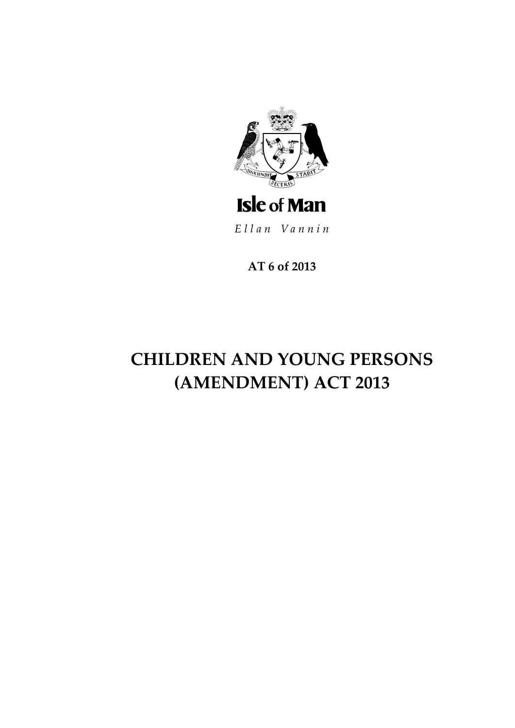

Ellan Vannin

AT 6 of 2013

# **CHILDREN AND YOUNG PERSONS** (AMENDMENT) ACT 2013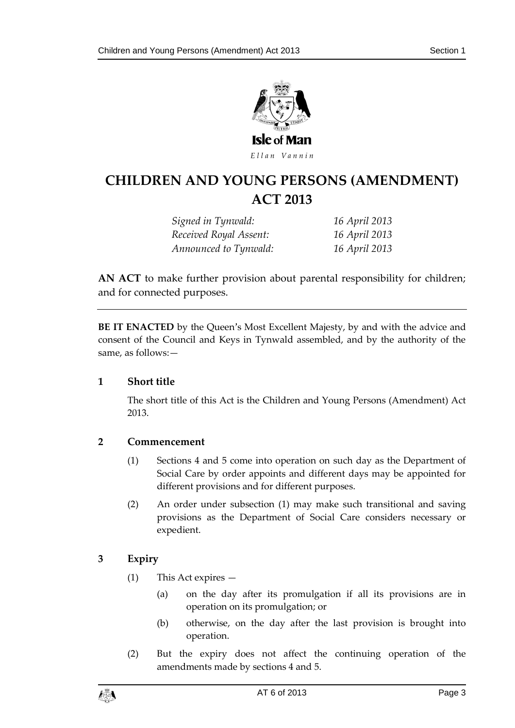

# **CHILDREN AND YOUNG P ERSONS (AMENDMENT) ACT 2013**

*Signed in Tynwald: 16 April 2013 Received Royal Assent: 16 April 2013 Announced to Tynwald: 16 April 2013*

**AN ACT** to make further provision about parental responsibility for children; and for connected purposes.

**BE IT ENACTED** by the Queen's Most Excellent Majesty, by and with the advice and consent of the Council and Keys in Tynwald assembled, and by the authority of the same, as follows:—

## **1 Short title**

The short title of this Act is the Children and Young Persons (Amendment) Act 2013.

## **2 Commencement**

- (1) Sections 4 and 5 come into operation on such day as the Department of Social Care by order appoints and different days may be appointed for different provisions and for different purposes.
- (2) An order under subsection (1) may make such transitional and saving provisions as the Department of Social Care considers necessary or expedient.

## **3 Expiry**

- (1) This Act expires
	- (a) on the day after its promulgation if all its provisions are in operation on its promulgation; or
	- (b) otherwise, on the day after the last provision is brought into operation.
- (2) But the expiry does not affect the continuing operation of the amendments made by sections 4 and 5.